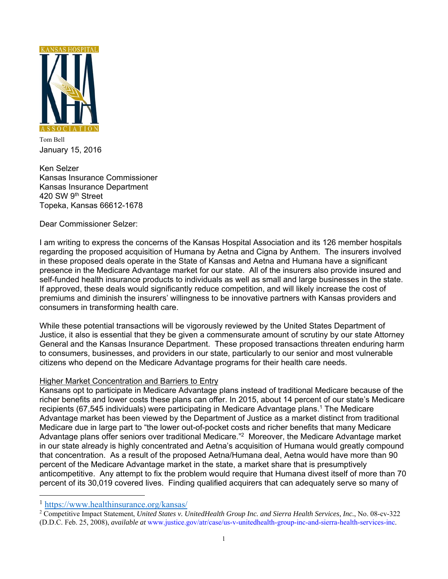

Tom Bell January 15, 2016

Ken Selzer Kansas Insurance Commissioner Kansas Insurance Department 420 SW 9th Street Topeka, Kansas 66612-1678

Dear Commissioner Selzer:

I am writing to express the concerns of the Kansas Hospital Association and its 126 member hospitals regarding the proposed acquisition of Humana by Aetna and Cigna by Anthem. The insurers involved in these proposed deals operate in the State of Kansas and Aetna and Humana have a significant presence in the Medicare Advantage market for our state. All of the insurers also provide insured and self-funded health insurance products to individuals as well as small and large businesses in the state. If approved, these deals would significantly reduce competition, and will likely increase the cost of premiums and diminish the insurers' willingness to be innovative partners with Kansas providers and consumers in transforming health care.

While these potential transactions will be vigorously reviewed by the United States Department of Justice, it also is essential that they be given a commensurate amount of scrutiny by our state Attorney General and the Kansas Insurance Department. These proposed transactions threaten enduring harm to consumers, businesses, and providers in our state, particularly to our senior and most vulnerable citizens who depend on the Medicare Advantage programs for their health care needs.

## Higher Market Concentration and Barriers to Entry

Kansans opt to participate in Medicare Advantage plans instead of traditional Medicare because of the richer benefits and lower costs these plans can offer. In 2015, about 14 percent of our state's Medicare recipients (67,545 individuals) were participating in Medicare Advantage plans.1 The Medicare Advantage market has been viewed by the Department of Justice as a market distinct from traditional Medicare due in large part to "the lower out-of-pocket costs and richer benefits that many Medicare Advantage plans offer seniors over traditional Medicare."2 Moreover, the Medicare Advantage market in our state already is highly concentrated and Aetna's acquisition of Humana would greatly compound that concentration. As a result of the proposed Aetna/Humana deal, Aetna would have more than 90 percent of the Medicare Advantage market in the state, a market share that is presumptively anticompetitive. Any attempt to fix the problem would require that Humana divest itself of more than 70 percent of its 30,019 covered lives. Finding qualified acquirers that can adequately serve so many of

 $\overline{a}$ 

<sup>&</sup>lt;sup>1</sup> https://www.healthinsurance.org/kansas/

Competitive Impact Statement, *United States v. UnitedHealth Group Inc. and Sierra Health Services, Inc.*, No. 08-cv-322 (D.D.C. Feb. 25, 2008), *available at* www.justice.gov/atr/case/us-v-unitedhealth-group-inc-and-sierra-health-services-inc.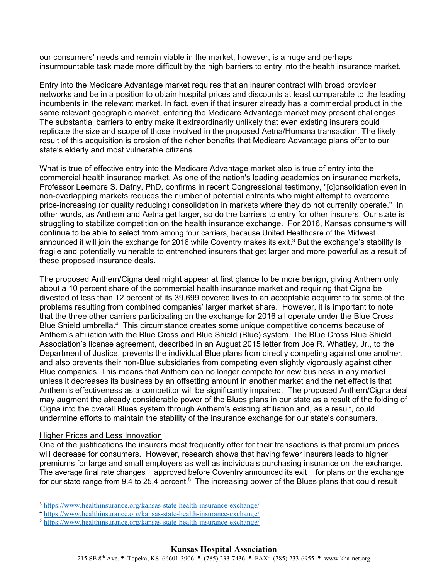our consumers' needs and remain viable in the market, however, is a huge and perhaps insurmountable task made more difficult by the high barriers to entry into the health insurance market.

Entry into the Medicare Advantage market requires that an insurer contract with broad provider networks and be in a position to obtain hospital prices and discounts at least comparable to the leading incumbents in the relevant market. In fact, even if that insurer already has a commercial product in the same relevant geographic market, entering the Medicare Advantage market may present challenges. The substantial barriers to entry make it extraordinarily unlikely that even existing insurers could replicate the size and scope of those involved in the proposed Aetna/Humana transaction. The likely result of this acquisition is erosion of the richer benefits that Medicare Advantage plans offer to our state's elderly and most vulnerable citizens.

What is true of effective entry into the Medicare Advantage market also is true of entry into the commercial health insurance market. As one of the nation's leading academics on insurance markets, Professor Leemore S. Dafny, PhD, confirms in recent Congressional testimony, "[c]onsolidation even in non-overlapping markets reduces the number of potential entrants who might attempt to overcome price-increasing (or quality reducing) consolidation in markets where they do not currently operate." In other words, as Anthem and Aetna get larger, so do the barriers to entry for other insurers. Our state is struggling to stabilize competition on the health insurance exchange. For 2016, Kansas consumers will continue to be able to select from among four carriers, because United Healthcare of the Midwest announced it will join the exchange for 2016 while Coventry makes its exit.<sup>3</sup> But the exchange's stability is fragile and potentially vulnerable to entrenched insurers that get larger and more powerful as a result of these proposed insurance deals.

The proposed Anthem/Cigna deal might appear at first glance to be more benign, giving Anthem only about a 10 percent share of the commercial health insurance market and requiring that Cigna be divested of less than 12 percent of its 39,699 covered lives to an acceptable acquirer to fix some of the problems resulting from combined companies' larger market share. However, it is important to note that the three other carriers participating on the exchange for 2016 all operate under the Blue Cross Blue Shield umbrella.<sup>4</sup> This circumstance creates some unique competitive concerns because of Anthem's affiliation with the Blue Cross and Blue Shield (Blue) system. The Blue Cross Blue Shield Association's license agreement, described in an August 2015 letter from Joe R. Whatley, Jr., to the Department of Justice, prevents the individual Blue plans from directly competing against one another, and also prevents their non-Blue subsidiaries from competing even slightly vigorously against other Blue companies. This means that Anthem can no longer compete for new business in any market unless it decreases its business by an offsetting amount in another market and the net effect is that Anthem's effectiveness as a competitor will be significantly impaired. The proposed Anthem/Cigna deal may augment the already considerable power of the Blues plans in our state as a result of the folding of Cigna into the overall Blues system through Anthem's existing affiliation and, as a result, could undermine efforts to maintain the stability of the insurance exchange for our state's consumers.

## Higher Prices and Less Innovation

 $\overline{a}$ 

 $\overline{a}$ 

One of the justifications the insurers most frequently offer for their transactions is that premium prices will decrease for consumers. However, research shows that having fewer insurers leads to higher premiums for large and small employers as well as individuals purchasing insurance on the exchange. The average final rate changes − approved before Coventry announced its exit − for plans on the exchange for our state range from 9.4 to 25.4 percent.<sup>5</sup> The increasing power of the Blues plans that could result

<sup>&</sup>lt;sup>3</sup> https://www.healthinsurance.org/kansas-state-health-insurance-exchange/<br>
<sup>4</sup> https://www.healthinsurance.org/kansas-state-health-insurance-exchange/<br>
<sup>5</sup> https://www.healthinsurance.org/kansas-state-health-insurance-ex